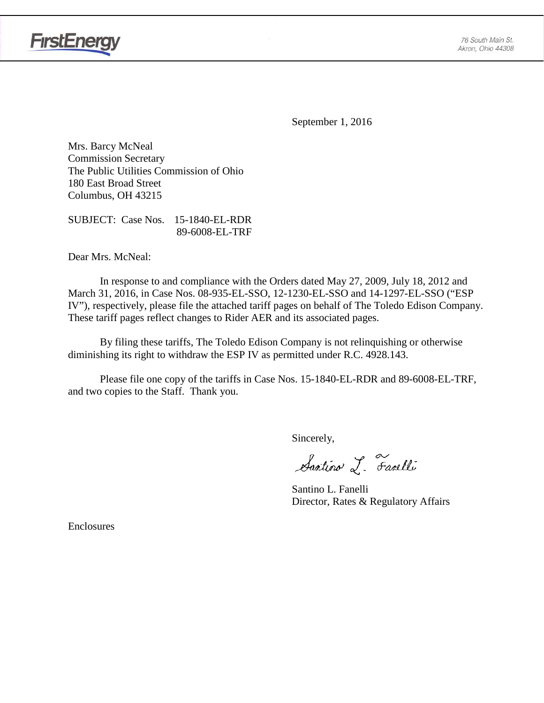

**FirstEnergy** 

September 1, 2016

Mrs. Barcy McNeal Commission Secretary The Public Utilities Commission of Ohio 180 East Broad Street Columbus, OH 43215

SUBJECT: Case Nos. 15-1840-EL-RDR 89-6008-EL-TRF

Dear Mrs. McNeal:

In response to and compliance with the Orders dated May 27, 2009, July 18, 2012 and March 31, 2016, in Case Nos. 08-935-EL-SSO, 12-1230-EL-SSO and 14-1297-EL-SSO ("ESP IV"), respectively, please file the attached tariff pages on behalf of The Toledo Edison Company. These tariff pages reflect changes to Rider AER and its associated pages.

By filing these tariffs, The Toledo Edison Company is not relinquishing or otherwise diminishing its right to withdraw the ESP IV as permitted under R.C. 4928.143.

Please file one copy of the tariffs in Case Nos. 15-1840-EL-RDR and 89-6008-EL-TRF, and two copies to the Staff. Thank you.

Sincerely,

Santino L. Farelli

Santino L. Fanelli Director, Rates & Regulatory Affairs

Enclosures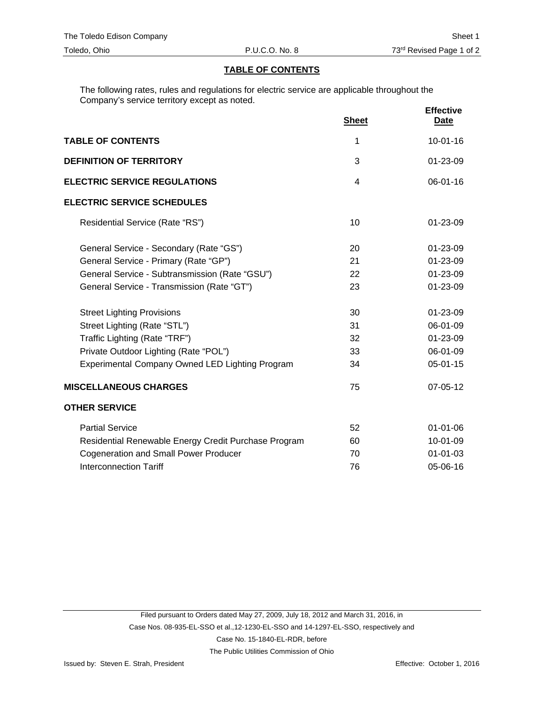# **TABLE OF CONTENTS**

The following rates, rules and regulations for electric service are applicable throughout the Company's service territory except as noted.

|                                                      | <b>Sheet</b>   | <b>Effective</b><br><b>Date</b> |
|------------------------------------------------------|----------------|---------------------------------|
| <b>TABLE OF CONTENTS</b>                             | 1              | $10 - 01 - 16$                  |
| <b>DEFINITION OF TERRITORY</b>                       | 3              | $01 - 23 - 09$                  |
| <b>ELECTRIC SERVICE REGULATIONS</b>                  | $\overline{4}$ | 06-01-16                        |
| <b>ELECTRIC SERVICE SCHEDULES</b>                    |                |                                 |
| Residential Service (Rate "RS")                      | 10             | $01 - 23 - 09$                  |
| General Service - Secondary (Rate "GS")              | 20             | 01-23-09                        |
| General Service - Primary (Rate "GP")                | 21             | 01-23-09                        |
| General Service - Subtransmission (Rate "GSU")       | 22             | 01-23-09                        |
| General Service - Transmission (Rate "GT")           | 23             | 01-23-09                        |
| <b>Street Lighting Provisions</b>                    | 30             | 01-23-09                        |
| Street Lighting (Rate "STL")                         | 31             | 06-01-09                        |
| Traffic Lighting (Rate "TRF")                        | 32             | 01-23-09                        |
| Private Outdoor Lighting (Rate "POL")                | 33             | 06-01-09                        |
| Experimental Company Owned LED Lighting Program      | 34             | $05 - 01 - 15$                  |
| <b>MISCELLANEOUS CHARGES</b>                         | 75             | 07-05-12                        |
| <b>OTHER SERVICE</b>                                 |                |                                 |
| <b>Partial Service</b>                               | 52             | $01 - 01 - 06$                  |
| Residential Renewable Energy Credit Purchase Program | 60             | 10-01-09                        |
| <b>Cogeneration and Small Power Producer</b>         | 70             | $01 - 01 - 03$                  |
| <b>Interconnection Tariff</b>                        | 76             | 05-06-16                        |

The Public Utilities Commission of Ohio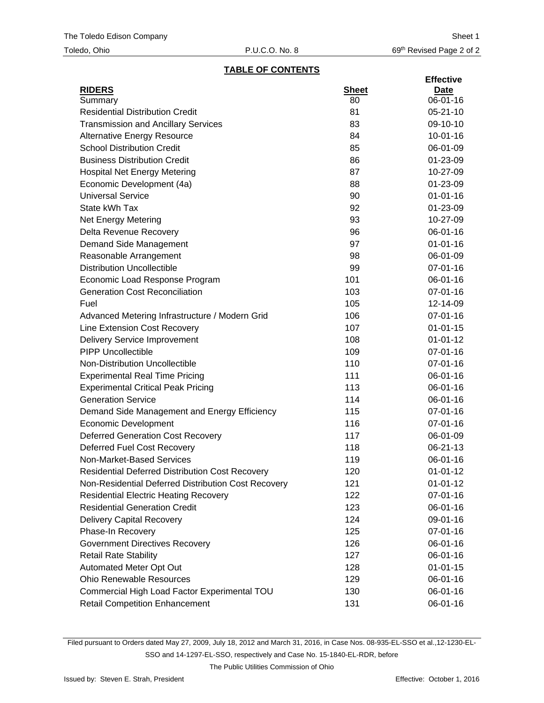## **TABLE OF CONTENTS**

|                                                        |              | <b>Effective</b> |
|--------------------------------------------------------|--------------|------------------|
| <b>RIDERS</b>                                          | <b>Sheet</b> | <b>Date</b>      |
| Summary                                                | 80           | 06-01-16         |
| <b>Residential Distribution Credit</b>                 | 81           | $05 - 21 - 10$   |
| <b>Transmission and Ancillary Services</b>             | 83           | 09-10-10         |
| <b>Alternative Energy Resource</b>                     | 84           | $10 - 01 - 16$   |
| <b>School Distribution Credit</b>                      | 85           | 06-01-09         |
| <b>Business Distribution Credit</b>                    | 86           | 01-23-09         |
| <b>Hospital Net Energy Metering</b>                    | 87           | 10-27-09         |
| Economic Development (4a)                              | 88           | 01-23-09         |
| <b>Universal Service</b>                               | 90           | $01 - 01 - 16$   |
| State kWh Tax                                          | 92           | 01-23-09         |
| <b>Net Energy Metering</b>                             | 93           | 10-27-09         |
| Delta Revenue Recovery                                 | 96           | 06-01-16         |
| Demand Side Management                                 | 97           | $01 - 01 - 16$   |
| Reasonable Arrangement                                 | 98           | 06-01-09         |
| <b>Distribution Uncollectible</b>                      | 99           | 07-01-16         |
| Economic Load Response Program                         | 101          | 06-01-16         |
| <b>Generation Cost Reconciliation</b>                  | 103          | 07-01-16         |
| Fuel                                                   | 105          | 12-14-09         |
| Advanced Metering Infrastructure / Modern Grid         | 106          | 07-01-16         |
| <b>Line Extension Cost Recovery</b>                    | 107          | $01 - 01 - 15$   |
| <b>Delivery Service Improvement</b>                    | 108          | $01 - 01 - 12$   |
| <b>PIPP Uncollectible</b>                              | 109          | 07-01-16         |
| Non-Distribution Uncollectible                         | 110          | 07-01-16         |
| <b>Experimental Real Time Pricing</b>                  | 111          | 06-01-16         |
| <b>Experimental Critical Peak Pricing</b>              | 113          | 06-01-16         |
| <b>Generation Service</b>                              | 114          | 06-01-16         |
| Demand Side Management and Energy Efficiency           | 115          | 07-01-16         |
| Economic Development                                   | 116          | 07-01-16         |
| <b>Deferred Generation Cost Recovery</b>               | 117          | 06-01-09         |
| Deferred Fuel Cost Recovery                            | 118          | 06-21-13         |
| Non-Market-Based Services                              | 119          | 06-01-16         |
| <b>Residential Deferred Distribution Cost Recovery</b> | 120          | $01 - 01 - 12$   |
| Non-Residential Deferred Distribution Cost Recovery    | 121          | $01 - 01 - 12$   |
| <b>Residential Electric Heating Recovery</b>           | 122          | 07-01-16         |
| <b>Residential Generation Credit</b>                   | 123          | 06-01-16         |
| <b>Delivery Capital Recovery</b>                       | 124          | 09-01-16         |
| Phase-In Recovery                                      | 125          | 07-01-16         |
| <b>Government Directives Recovery</b>                  | 126          | 06-01-16         |
| <b>Retail Rate Stability</b>                           | 127          | 06-01-16         |
| Automated Meter Opt Out                                | 128          | $01 - 01 - 15$   |
| <b>Ohio Renewable Resources</b>                        | 129          | 06-01-16         |
| Commercial High Load Factor Experimental TOU           | 130          | 06-01-16         |
| <b>Retail Competition Enhancement</b>                  | 131          | 06-01-16         |
|                                                        |              |                  |

Filed pursuant to Orders dated May 27, 2009, July 18, 2012 and March 31, 2016, in Case Nos. 08-935-EL-SSO et al.,12-1230-EL-SSO and 14-1297-EL-SSO, respectively and Case No. 15-1840-EL-RDR, before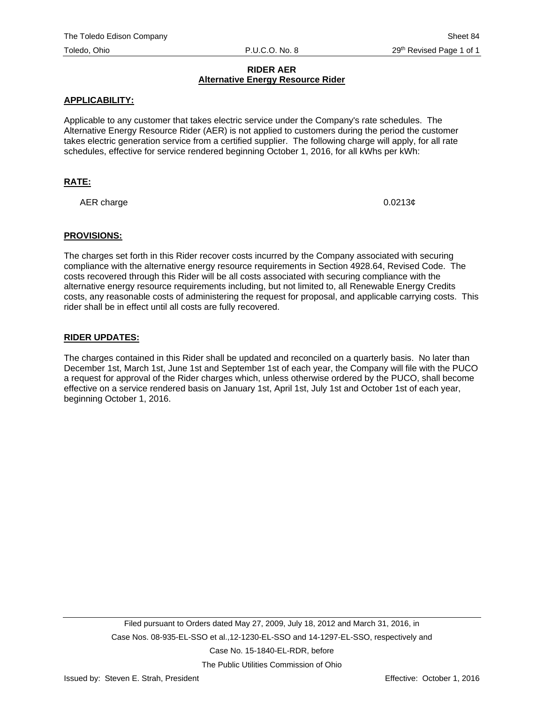# **RIDER AER Alternative Energy Resource Rider**

# **APPLICABILITY:**

Applicable to any customer that takes electric service under the Company's rate schedules. The Alternative Energy Resource Rider (AER) is not applied to customers during the period the customer takes electric generation service from a certified supplier. The following charge will apply, for all rate schedules, effective for service rendered beginning October 1, 2016, for all kWhs per kWh:

# **RATE:**

AER charge  $0.0213\epsilon$ 

### **PROVISIONS:**

The charges set forth in this Rider recover costs incurred by the Company associated with securing compliance with the alternative energy resource requirements in Section 4928.64, Revised Code. The costs recovered through this Rider will be all costs associated with securing compliance with the alternative energy resource requirements including, but not limited to, all Renewable Energy Credits costs, any reasonable costs of administering the request for proposal, and applicable carrying costs. This rider shall be in effect until all costs are fully recovered.

### **RIDER UPDATES:**

The charges contained in this Rider shall be updated and reconciled on a quarterly basis. No later than December 1st, March 1st, June 1st and September 1st of each year, the Company will file with the PUCO a request for approval of the Rider charges which, unless otherwise ordered by the PUCO, shall become effective on a service rendered basis on January 1st, April 1st, July 1st and October 1st of each year, beginning October 1, 2016.

The Public Utilities Commission of Ohio